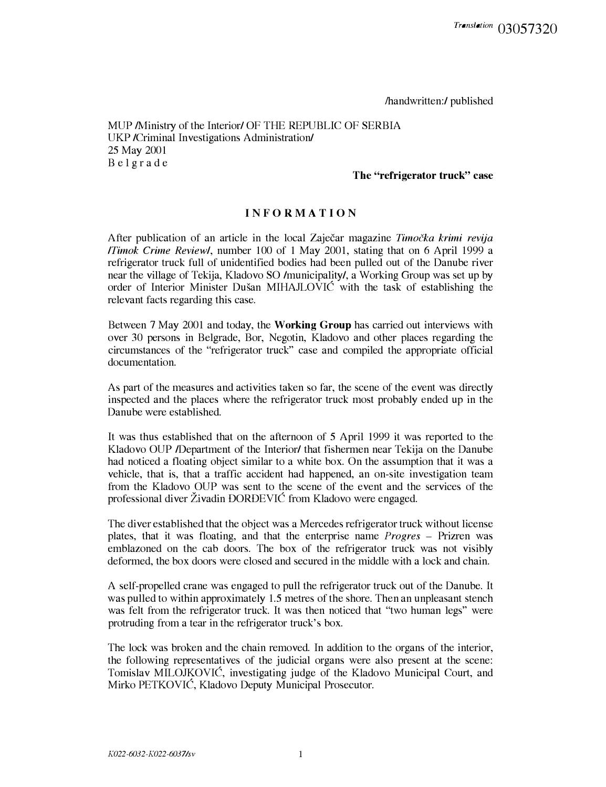/handwritten:/ published

MUP /Ministry of the Interior/ OF THE REPUBLIC OF SERBIA UKP /Criminal Investigations Administration/ 25 May 2001 Belgrade

## **The "refrigerator truck" case**

## **INFORMATION**

After publication of an article in the local Zajecar magazine *Timocka krimi revija /Timok Crime Review/,* number 100 of 1 May 2001, stating that on 6 April 1999 a refrigerator truck full of unidentified bodies had been pulled out of the Danube river near the village of Tekija, Kladovo SO /municipality/, a Working Group was set up by order of Interior Minister Dusan MIHAJLOVIC with the task of establishing the relevant facts regarding this case.

Between 7 May 2001 and today, the **Working Group** has carried out interviews with over 30 persons in Belgrade, Bor, Negotin, Kladovo and other places regarding the circumstances of the "refrigerator truck" case and compiled the appropriate official documentation.

As part of the measures and activities taken so far, the scene of the event was directly inspected and the places where the refrigerator truck most probably ended up in the Danube were established.

It was thus established that on the afternoon of 5 April 1999 it was reported to the Kladovo OUP /Department of the Interior/ that fishermen near Tekija on the Danube had noticed a floating object similar to a white box. On the assumption that it was a vehicle, that is, that a traffic accident had happened, an on-site investigation team from the Kladovo OUP was sent to the scene of the event and the services of the professional diver Zivadin DORDEVIC from Kladovo were engaged.

The diver established that the object was a Mercedes refrigerator truck without license plates, that it was floating, and that the enterprise name *Progres* - Prizren was emblazoned on the cab doors. The box of the refrigerator truck was not visibly deformed, the box doors were closed and secured in the middle with a lock and chain.

A self-propelled crane was engaged to pull the refrigerator truck out of the Danube. It was pulled to within approximately 1.5 metres of the shore. Then an unpleasant stench was felt from the refrigerator truck. It was then noticed that "two human legs" were protruding from a tear in the refrigerator truck's box.

The lock was broken and the chain removed. In addition to the organs of the interior, the following representatives of the judicial organs were also present at the scene: Tomislav MILOJKOVIC, investigating judge of the Kladovo Municipal Court, and Mirko PETKOVIC, Kladovo Deputy Municipal Prosecutor.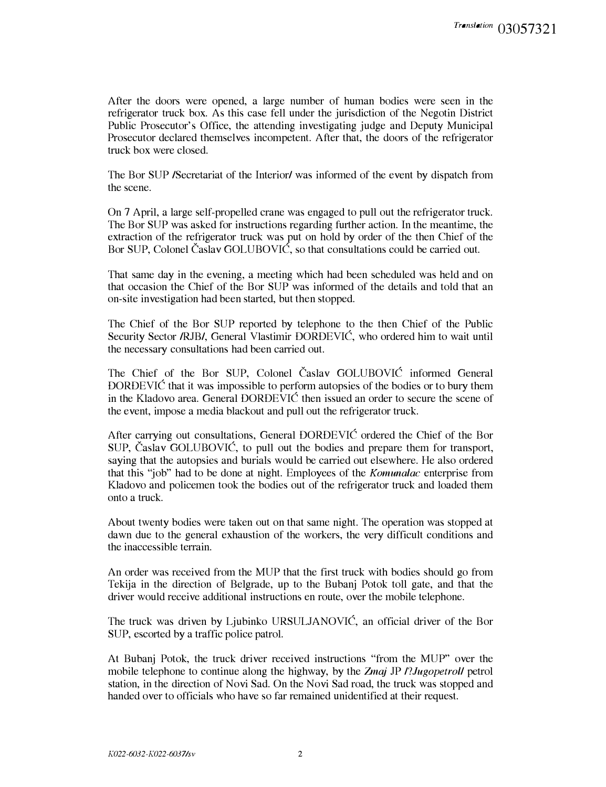After the doors were opened, a large number of human bodies were seen in the refrigerator truck box. As this case fell under the jurisdiction of the Negotin District Public Prosecutor's Office, the attending investigating judge and Deputy Municipal Prosecutor declared themselves incompetent. After that, the doors of the refrigerator truck box were closed.

The Bor SUP /Secretariat of the Interior/ was informed of the event by dispatch from the scene.

On 7 April, a large self-propelled crane was engaged to pull out the refrigerator truck. The Bor SUP was asked for instructions regarding further action. In the meantime, the extraction of the refrigerator truck was put on hold by order of the then Chief of the Bor SUP, Colonel Caslav GOLUBOVIC, so that consultations could be carried out.

That same day in the evening, a meeting which had been scheduled was held and on that occasion the Chief of the Bor SUP was informed of the details and told that an on-site investigation had been started, but then stopped.

The Chief of the Bor SUP reported by telephone to the then Chief of the Public Security Sector /RJB/, General Vlastimir DORDEVIC, who ordered him to wait until the necessary consultations had been carried out.

The Chief of the Bor SUP, Colonel Časlav GOLUBOVIĆ informed General DORDEVIC that it was impossible to perform autopsies of the bodies or to bury them in the Kladovo area. General DORDEVIC then issued an order to secure the scene of the event, impose a media blackout and pull out the refrigerator truck.

After carrying out consultations, General DORDEVIC ordered the Chief of the Bor SUP, Caslav GOLUBOVIC, to pull out the bodies and prepare them for transport, saying that the autopsies and burials would be carried out elsewhere. He also ordered that this "job" had to be done at night. Employees of the *Komunalac* enterprise from Kladovo and policemen took the bodies out of the refrigerator truck and loaded them onto a truck.

About twenty bodies were taken out on that same night. The operation was stopped at dawn due to the general exhaustion of the workers, the very difficult conditions and the inaccessible terrain.

An order was received from the MUP that the first truck with bodies should go from Tekija in the direction of Belgrade, up to the Bubanj Potok toll gate, and that the driver would receive additional instructions en route, over the mobile telephone.

The truck was driven by Ljubinko URSULJANOVIC, an official driver of the Bor SUP, escorted by a traffic police patrol.

At Bubanj Potok, the truck driver received instructions "from the MUP" over the mobile telephone to continue along the highway, by the *Zmaj* JP *l?Jugopetrol/* petrol station, in the direction of Novi Sad. On the Novi Sad road, the truck was stopped and handed over to officials who have so far remained unidentified at their request.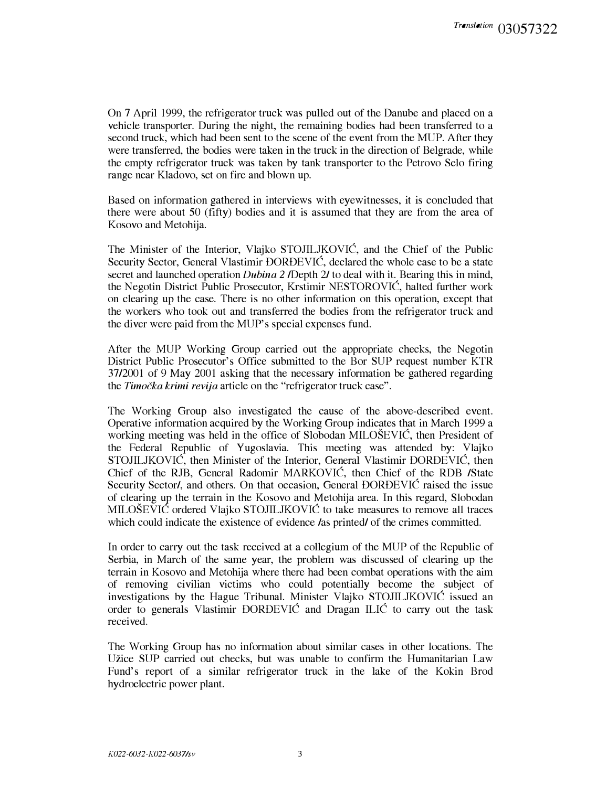On 7 April 1999, the refrigerator truck was pulled out of the Danube and placed on a vehicle transporter. During the night, the remaining bodies had been transferred to a second truck, which had been sent to the scene of the event from the MUP. After they were transferred, the bodies were taken in the truck in the direction of Belgrade, while the empty refrigerator truck was taken by tank transporter to the Petrovo Selo firing range near Kladovo, set on fire and blown up.

Based on information gathered in interviews with eyewitnesses, it is concluded that there were about 50 (fifty) bodies and it is assumed that they are from the area of Kosovo and Metohija.

The Minister of the Interior, Vlajko STOJILJKOVIC, and the Chief of the Public Security Sector, General Vlastimir DORDEVIC, declared the whole case to be a state secret and launched operation *Dubina 2 I*Depth 2*I* to deal with it. Bearing this in mind, the Negotin District Public Prosecutor, Krstimir NESTOROVIC, halted further work on clearing up the case. There is no other information on this operation, except that the workers who took out and transferred the bodies from the refrigerator truck and the diver were paid from the MUP's special expenses fund.

After the MUP Working Group carried out the appropriate checks, the Negotin District Public Prosecutor's Office submitted to the Bor SUP request number KTR 37/2001 of 9 May 2001 asking that the necessary information be gathered regarding the *Timocka krimi revija* article on the "refrigerator truck case".

The Working Group also investigated the cause of the above-described event. Operative information acquired by the Working Group indicates that in March 1999 a working meeting was held in the office of Slobodan MILOSEVIC, then President of the Federal Republic of Yugoslavia. This meeting was attended by: Vlajko STOJILJKOVIC, then Minister of the Interior, General Vlastimir DORDEVIC, then Chief of the RJB, General Radomir MARKOVIC, then Chief of the RDB /State Security Sector/, and others. On that occasion, General DORDEVIC raised the issue of clearing up the terrain in the Kosovo and Metohija area. In this regard, Slobodan MILOSEVIC ordered Vlajko STOJILJKOVIC to take measures to remove all traces which could indicate the existence of evidence /as printed/ of the crimes committed.

In order to carry out the task received at a collegium of the MUP of the Republic of Serbia, in March of the same year, the problem was discussed of clearing up the terrain in Kosovo and Metohija where there had been combat operations with the aim of removing civilian victims who could potentially become the subject of investigations by the Hague Tribunal. Minister Vlajko STOJILJKOVIC issued an order to generals Vlastimir DORDEVIC and Dragan ILIC to carry out the task received.

The Working Group has no information about similar cases in other locations. The Uzice SUP carried out checks, but was unable to confirm the Humanitarian Law Fund's report of a similar refrigerator truck in the lake of the Kokin Brod hydroelectric power plant.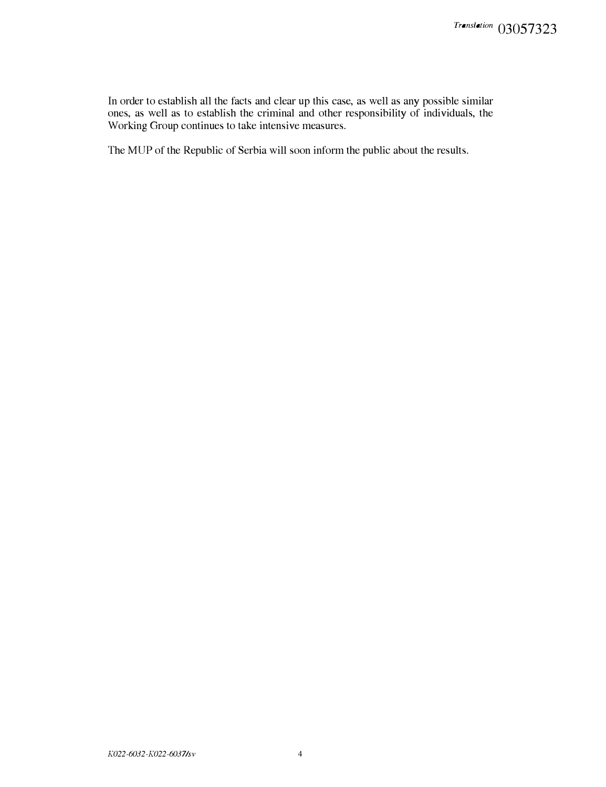In order to establish all the facts and clear up this case, as well as any possible similar ones, as well as to establish the criminal and other responsibility of individuals, the Working Group continues to take intensive measures.

The MUP of the Republic of Serbia will soon inform the public about the results.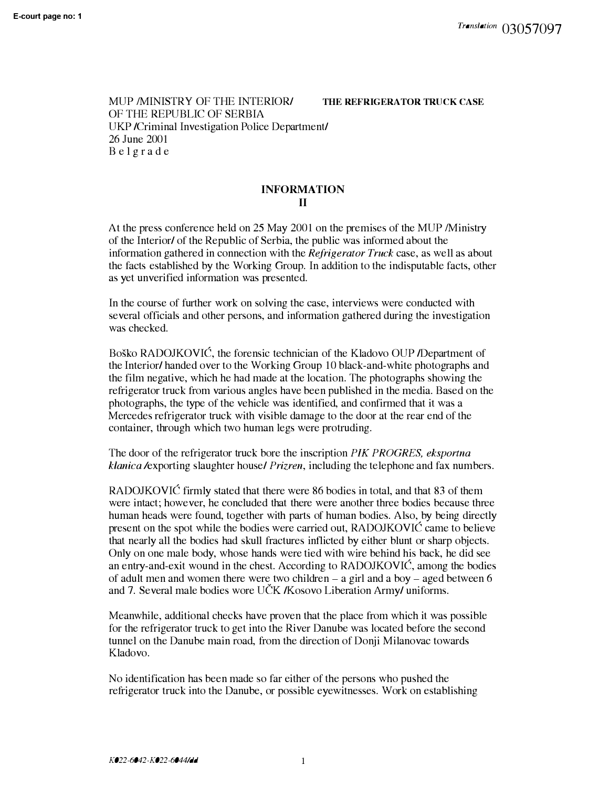MUP /MINISTRY OF THE INTERIOR/ OF THE REPUBLIC OF SERBIA UKP /Criminal Investigation Police Department/ 26 June 2001 B e l g rade

**THE REFRIGERATOR TRUCK CASE** 

## **INFORMATION II**

At the press conference held on 25 May 2001 on the premises of the MUP /Ministry of the Interior/ of the Republic of Serbia, the public was informed about the information gathered in connection with the *Refrigerator Truck* case, as well as about the facts established by the Working Group. In addition to the indisputable facts, other as yet unverified information was presented.

In the course of further work on solving the case, interviews were conducted with several officials and other persons, and information gathered during the investigation was checked.

Bosko RADOJKOVIC, the forensic technician of the Kladovo OUP /Department of the Interior/ handed over to the Working Group 10 black-and-white photographs and the film negative, which he had made at the location. The photographs showing the refrigerator truck from various angles have been published in the media. Based on the photographs, the type of the vehicle was identified, and confirmed that it was a Mercedes refrigerator truck with visible damage to the door at the rear end of the container, through which two human legs were protruding.

The door of the refrigerator truck bore the inscription *PIK PROGRES*, *eksportna klanica* /exporting slaughter house/ *Prizren,* including the telephone and fax numbers.

RADOJKOVIC firmly stated that there were 86 bodies in total, and that 83 of them were intact; however, he concluded that there were another three bodies because three human heads were found, together with parts of human bodies. Also, by being directly present on the spot while the bodies were carried out, RADOJKOVIC came to believe that nearly all the bodies had skull fractures inflicted by either blunt or sharp objects. Only on one male body, whose hands were tied with wire behind his back, he did see an entry-and-exit wound in the chest. According to RADOJKOVIC, among the bodies of adult men and women there were two children  $-$  a girl and a boy  $-$  aged between 6 and 7. Several male bodies wore UČK /Kosovo Liberation Army/ uniforms.

Meanwhile, additional checks have proven that the place from which it was possible for the refrigerator truck to get into the River Danube was located before the second tunnel on the Danube main road, from the direction of Donji Milanovac towards Kladovo.

No identification has been made so far either of the persons who pushed the refrigerator truck into the Danube, or possible eyewitnesses. Work on establishing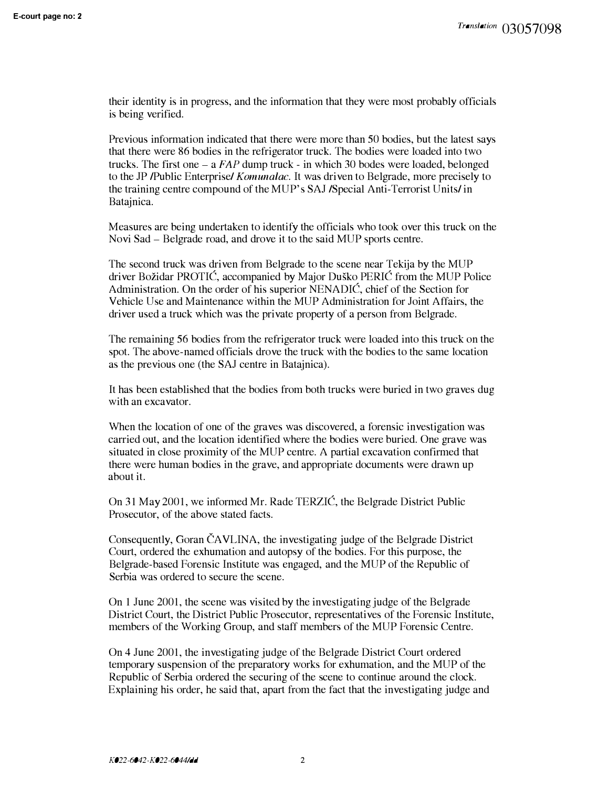their identity is in progress, and the information that they were most probably officials is being verified.

Previous information indicated that there were more than 50 bodies, but the latest says that there were 86 bodies in the refrigerator truck. The bodies were loaded into two trucks. The first one – a *FAP* dump truck - in which 30 bodes were loaded, belonged to the JP /Public Enterprise/ *Komunalac.* It was driven to Belgrade, more precisely to the training centre compound of the MUP's SAJ /Special Anti-Terrorist Units/ in Batajnica.

Measures are being undertaken to identify the officials who took over this truck on the Novi Sad - Belgrade road, and drove it to the said MUP sports centre.

The second truck was driven from Belgrade to the scene near Tekija by the MUP driver Bozidar PROTIC, accompanied by Major Dusko PERIC from the MUP Police Administration. On the order of his superior NENADIC, chief of the Section for Vehicle Use and Maintenance within the MUP Administration for Joint Affairs, the driver used a truck which was the private property of a person from Belgrade.

The remaining 56 bodies from the refrigerator truck were loaded into this truck on the spot. The above-named officials drove the truck with the bodies to the same location as the previous one (the SAJ centre in Batajnica).

It has been established that the bodies from both trucks were buried in two graves dug with an excavator.

When the location of one of the graves was discovered, a forensic investigation was carried out, and the location identified where the bodies were buried. One grave was situated in close proximity of the MUP centre. A partial excavation confirmed that there were human bodies in the grave, and appropriate documents were drawn up about it.

On 31 May 2001, we informed Mr. Rade TERZIC, the Belgrade District Public Prosecutor, of the above stated facts.

Consequently, Goran CA VLINA, the investigating judge of the Belgrade District Court, ordered the exhumation and autopsy of the bodies. For this purpose, the Belgrade-based Forensic Institute was engaged, and the MUP of the Republic of Serbia was ordered to secure the scene.

On 1 June 2001, the scene was visited by the investigating judge of the Belgrade District Court, the District Public Prosecutor, representatives of the Forensic Institute, members of the Working Group, and staff members of the MUP Forensic Centre.

On 4 June 2001, the investigating judge of the Belgrade District Court ordered temporary suspension of the preparatory works for exhumation, and the MUP of the Republic of Serbia ordered the securing of the scene to continue around the clock. Explaining his order, he said that, apart from the fact that the investigating judge and